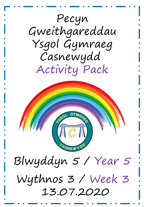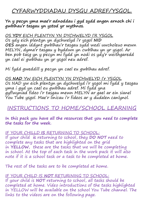# CYFARWYDDIADAU DYSGU ADREF/YSGOL.

**Yn y pecyn yma mae'r adnoddau i gyd sydd angen arnoch chi i gwblhau'r tasgau yn ystod yr wythnos.**

OS **YDY** EICH PLENTYN YN DYCHWELYD I'R YSGOL

Os ydy eich plentyn yn dychwelyd i'r ysgol **NID OES** angen iddynt gwblhau'r tasgau sydd wedi uwcholeuo mewn MELYN, dyma'r tasgau y byddwn yn cwblhau yn yr ysgol. Ar ben pob tasg yn y pecyn mi fydd yn nodi os ydy'r weithgaredd yn cael ei gwblhau yn yr ysgol neu adref.

Mi fydd gweddill y pecyn yn cael eu gwblhau adref.

OS **NAD** YW EICH PLENTYN YN DYCHWELYD I'r YSGOL Os NAD yw eich plentyn yn dychwelyd i'r ysgol mi fydd y tasgau yma i gyd yn cael eu gwblhau adref. Mi fydd yna gyflwyniad fideo i'r tasgau mewn MELYN ar gael ar ein sianel You Tube ysgol. Mae'r linicau i'r fideos ar y dudalen canlynol.

## INSTRUCTIONS TO HOME/SCHOOL LEARNING

**In this pack you have all the resources that you need to complete the tasks for the week.**

IF YOUR CHILLD **IS** RETURNING TO SCHOOL: If your child **is** returning to school, they **DO NOT** need to complete any tasks that are highlighted on the grid in **YELLOW**, these are the tasks that we will be completing in school. At the top of each task in the work pack it will also note if it is a school task or a task to be completed at home.

The rest of the tasks are to be completed at home.

IF YOUR CHILD IS **NOT** RETURINING TO SCHOOL: If your child is **NOT** returning to school, all tasks should be completed at home. Video introductions of the tasks highlighted in YELLOW will be available on the school You Tube channel. The links to the videos are on the following page.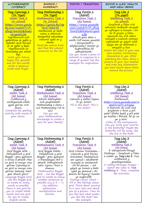| LLYTHRENNEDD<br>/LITERACY                                                                                                                                                                                                                                                                                                                                                                                                                                                                                       | RHIFEDD /<br><b>NUMERACY</b>                                                                                                                                                                                                                                                                                                                                                                                                               | PONTIO / TRANSITION                                                                                                                                                                                                                                                                                                                                                                                                                                                                                                                                     | IECHYD A LLES/ HEALTH<br>AND WELL-BEING                                                                                                                                                                                                                                                                                                                                                                                                                                                                                                                                                                   |
|-----------------------------------------------------------------------------------------------------------------------------------------------------------------------------------------------------------------------------------------------------------------------------------------------------------------------------------------------------------------------------------------------------------------------------------------------------------------------------------------------------------------|--------------------------------------------------------------------------------------------------------------------------------------------------------------------------------------------------------------------------------------------------------------------------------------------------------------------------------------------------------------------------------------------------------------------------------------------|---------------------------------------------------------------------------------------------------------------------------------------------------------------------------------------------------------------------------------------------------------------------------------------------------------------------------------------------------------------------------------------------------------------------------------------------------------------------------------------------------------------------------------------------------------|-----------------------------------------------------------------------------------------------------------------------------------------------------------------------------------------------------------------------------------------------------------------------------------------------------------------------------------------------------------------------------------------------------------------------------------------------------------------------------------------------------------------------------------------------------------------------------------------------------------|
| <u>Tasg Cymraeg 1</u><br>(Yn Ysgol)<br>Welsh Task 2<br>(In school)<br><u>https://www.youtu</u><br><u>be.com/watch?v=P</u><br><u>zfWg76wZQ&amp;featu</u><br><u>re=youtu.be</u><br><u>Ysgrifennwch eich</u><br>gobeithion ar gyfer y<br><u>dyfodol (eich hunain</u><br><mark>ac ar gyfer y byd).</mark><br><u>Ysgrifennwch un</u><br><u>brawddeg ym mhob</u><br>Write your future<br>hopes (for yourself<br>and for the world).<br>Write a sentence<br>inside each finger.                                        | <u>Tasg Mathemateg 1</u><br><u>(Yn Ysgol)</u><br>Mathematics Task 1<br>(In School)<br><u> https://youtu.be/Np</u><br>HWC9kkE4E<br>Darllenwch yr helfa<br><u>natur a chesiwch</u><br><u>darganfod adnoddau</u><br><mark>naturiol sydd ar y</mark><br>rhestr.<br>Read the nature hunt<br>and find the natural<br>resources on the list.                                                                                                      | <u>Tasg Pontio 1</u><br>(Adref)<br><u>Transition Task 1</u><br>(At home)<br><u>https://www.youtube.</u><br><u>com/watch?v=P_zfWq</u><br><u>76wZQ&amp;feature=yout</u><br>u.be<br>Allwch greu darn o<br>waith Celf mewn ymateb<br>i amrywiaeth o<br>ddyfyniadau? Gweler yr<br>enghreifftiau fel<br>ysbrydoliaeth.<br>Can you create a piece of<br>artwork in response to a<br>range of quotes? See the<br>examples for inspiration.                                                                                                                      | <u>Tasg Lles 1</u><br>$(Yn$ ysgol)<br>Wellbeing Task 1<br>(In school)<br>Gwyliwch y fideo o'ch<br>athrawes dosbarth newydd<br><mark>yn cyflwyno ei hunain i chi.</mark><br><mark>Ar ôl gwylio y fideo,</mark><br>tynnwch lun o'ch athro<br>newydd a nodwch unhryw<br>wybodaeth yr ydych wedi<br><mark>dysgu am yr athrawes o</mark><br><mark>amgylch y llun.</mark><br>Watch the video of your new<br>class teacher introducing<br>themselves to you. After<br>watching the video, draw a<br>picture of your new teacher<br>and note any information<br>you have learnt about them<br>around the picture. |
| <u>Tasg Cymraeg 2</u><br>(Adref)<br><u>Welsh Task 2</u><br>(At home)<br>Cwblhewch y<br>weithgaredd sillafu<br>gyda geiriau o'ch<br>dewis.<br>Complete the spelling<br>activity with words of<br>your choice.                                                                                                                                                                                                                                                                                                    | <u>Tasg Mathemateg 2</u><br>(Adref)<br>Mathematics Task 2<br>(At home)<br>Allwch ddefnyddio<br>eich gwybodaeth<br>Mathemateg a chreu c<br>wis Mathemateg i'ch te<br>ulu?<br>Can you use<br>your Mathematical<br>knowledge to create a<br>quiz for your family?                                                                                                                                                                             | <u>Tasg Pontio 2</u><br>(Adref)<br>Transition Task 2<br>(At home)<br>Llenwch y daflen Dyma<br>'Fi yn 2020'.<br>Fill in the sheet 'This is<br>me 2020.'                                                                                                                                                                                                                                                                                                                                                                                                  | <u>Tasg Lles 2</u><br>(Adref)<br><u>Wellbeing Task 2</u><br>(At home)<br>Darllenwch:<br><u> https://www.youtube.com/w</u><br>atch?v=GYV_09Uj2jc<br>A fedrwch chi nodi eich<br>pryderon o fewn y pili<br>pala? Efallai bydd y pili pala<br>yn hedfan i ffwrdd, fel yr un<br>yn y stori.<br>Listen to the worrysaurus.<br>Can you write your worries<br>in the butterfly? Maybe the<br>butterfly will fly away, like<br>the one in the book!                                                                                                                                                                |
| <u>Tasg Cymraeg 3</u><br><u>(Adref)</u><br><u>Welsh Task 3</u><br><u>(At home)</u><br>Grid Boggle Iaith -<br>Defnyddiwch y grid<br>Boggle i greu gymaint<br>o eiriau â phosib. Mae<br>un grid er mwyn creu<br>geiriau Cymraeg ac<br>un grid er mwyn creu<br>geiriau Saesneg. Sawl<br>gair allwch greu?<br>Language Boggle Grid<br>- Use the Boggle grid<br>to create as many<br>words as possible.<br>There is one grid for<br>you to create Welsh<br>words and one grid<br>for you to create<br>English words. | <u>Tasg Mathemateg 3</u><br>(Adref)<br><u> Mathematics Task 3</u><br>(At home)<br>Grid Boggle Maths -<br>Defyddiwch y grid<br>Boggle i greu gymaint<br>o frawddegau rhif a<br>phosib. Defnyddiwch<br>adio, tynnu, lluosi a<br>rhannu.<br>Mathematics Boggle<br>Grid - Use the Boggle<br>grid to create as many<br>number sentences as<br><i>possible (e.g</i> 2+5 = 7)<br>Use addition,<br>subtraction,<br>multiplication and<br>division. | <u>Tasg Pontio 3</u><br><u>(Adref)</u><br>Transition Task 3<br><u>(At home)</u><br>Grid Lliwiau Teimladau -<br>Llenwch y grid lliwiau<br>teimladau. Meddyliwch<br>am symud i ddosbarth<br>newydd ac amdanoch<br>chi fel person – sut<br>ydych yn teimlo a beth<br>sydd yn gwneud i chi<br>deimlo fel hynny? Gweler<br>yr enghraifft.<br>Feelings Colour Chart -<br>Fill in the feelings colour<br>grid. Think about moving<br>to a new class and about<br>you as a person- How do<br>you feel and what makes<br>you feel like that? See<br>the example. | Tasg Lles 3<br><u>(Adref)</u><br>Wellbeing Task 3<br>(At home)<br>E-ddiogelwch/Perygl<br>Diethryn - Gwyliwch y fideo<br>a roddir yn <b>Tasg Lles 3</b> . Yna,<br>cwblhewch y<br>gweithgareddau.<br>E-safety/Stranger Dnager -<br>Watch the video in Task<br>Wellbeing 3. Then, complete<br>the activities.                                                                                                                                                                                                                                                                                                |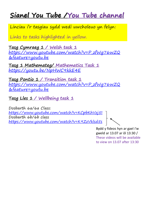# **Sianel You Tube /You Tube channel**

Linciau i'r tasgiau sydd wedi uwcholeuo yn felyn:

Links to tasks highlighted in yellow.

**Tasg Cymraeg 1 / Welsh task 1** [https://www.youtube.com/watch?v=P\\_zfWg76wZQ](https://www.youtube.com/watch?v=P_zfWg76wZQ&feature=youtu.be) &feature=youtu.be

**Tasg 1 Mathemateg/ Mathematics Task 1** <https://youtu.be/NpHWC9kkE4E>

**Tasg Pontio 1 / Transition task 1** [https://www.youtube.com/watch?v=P\\_zfWg76wZQ](https://www.youtube.com/watch?v=P_zfWg76wZQ&feature=youtu.be) &feature=youtu.be

**Tasg Lles 1 / Wellbeing task 1**

Dosbarth 6a/6a Class: <https://www.youtube.com/watch?v=KCpbKhVzj5I> Dosbarth 6b/6b class <https://www.youtube.com/watch?v=K9ZzVklsd5s>

Bydd y fideos hyn ar gael i'w gweld ar 13.07 ar ôl 13:30 / These videos will be available to view on 13.07 after 13:30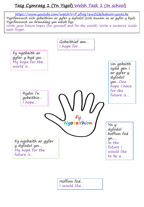### **Tasg Cymraeg 1 (Yn Ysgol) Welsh Task 1 (In school)**

[https://www.youtube.com/watch?v=P\\_zfWg76wZQ&feature=youtu.be](https://www.youtube.com/watch?v=P_zfWg76wZQ&feature=youtu.be) Ysgrifennwch eich gobeithion ar gyfer y dyfodol (eich hunain ac ar gyfer y byd). Ysgrifennwch un brawddeg ym mhob bys. Write your future hopes (for yourself and for the world). Write a sentence inside each finger.

![](_page_4_Figure_2.jpeg)

Hoffwn fod… I would like…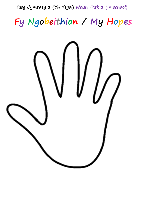### **Tasg Cymraeg 1 (Yn Ysgol) Welsh Task 1 (In school)**

![](_page_5_Picture_1.jpeg)

![](_page_5_Picture_2.jpeg)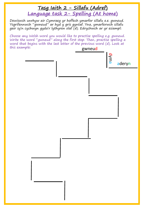### **Tasg Iaith 2 - Sillafu (Adref) Language task 2- Spelling (At home)**

Dewiswch unrhyw air Cymraeg yr hoffech ymarfer sillafu e.e. gwneud. Ysgrifennwch "gwneud" ar hyd y gris gyntaf. Yna, ymarferwch sillafu gair sy'n cychwyn gyda'r lythyren olaf (d). Edrychwch ar yr esiampl:

Choose any Welsh word you would like to practise spelling e.g. gwneud. Write the word "gwneud" along the first step. Then, practise spelling a word that begins with the last letter of the previous word (d). Look at this example: **gwneud** 

![](_page_6_Figure_3.jpeg)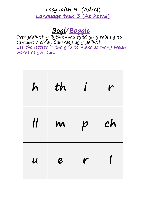## **Tasg Iaith 3 (Adref) Language task 3 (At home)**

# **Bogl/Boggle**

Defnyddiwch y llythrennau sydd yn y tabl i greu cymaint o eiriau Cymraeg ag y gallwch. Use the letters in the grid to make as many **Welsh** words as you can.

| h                          | th               | $\hat{U}$        | r  |
|----------------------------|------------------|------------------|----|
| $\mathcal U$               | M                | $\boldsymbol{p}$ | ch |
| $\boldsymbol{\mathcal{U}}$ | $\boldsymbol{e}$ | r                |    |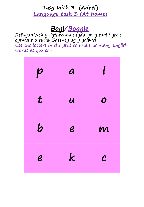# **Tasg Iaith 3 (Adref) Language task 3 (At home)**

# **Bogl/Boggle**

Defnyddiwch y llythrennau sydd yn y tabl i greu cymaint o eiriau Saesneg ag y gallwch. Use the letters in the grid to make as many **English**  words as you can.

| $\boldsymbol{p}$       | $\boldsymbol{a}$           |                  |
|------------------------|----------------------------|------------------|
| $\boldsymbol{t}$       | $\boldsymbol{\mathcal{U}}$ | $\boldsymbol{O}$ |
| $\bm b$                | $\boldsymbol{e}$           | M                |
| $\boldsymbol{\varrho}$ | $\mathbf k$                | $\mathcal{C}$    |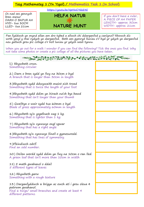**Tasg Mathemateg 1 (Yn Ysgol) / Mathematics Task 1 (In School)**

<https://youtu.be/NpHWC9kkE4E>

Os nad oes gennych bren mesur DARN O BAPUR A4 HYD- tua 3OCM LLED- tua 21cm

![](_page_9_Picture_3.jpeg)

If you don't have a ruler, A PIECE OF A4 PAPER LENGTH- approx. 3Ocm WIDTH- approx. 21cm

Pan fyddwch yn mynd allan am dro tybed a allwch chi ddarganfod y canlynol? Rhowch dic wrth ymyl y rhai rydych yn darganfod. Beth am gymryd lluniau o'r hyd yr ydych yn darganfod neu gallwch greu pic collage o'r holl luniau yr ydych wedi tynnu.

When you go out for a walk I wonder if you can find the following? Tick the ones you find. Why not take some photos or create a pic collage of all the pictures you have taken.

![](_page_9_Picture_7.jpeg)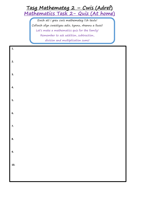## **Tasg Mathemateg 2 – Cwis (Adref) Mathematics Task 2- Quiz (At home)**

Ewch ati i greu cwis mathemateg i'ch teulu! Cofiwch ofyn cwestiyau adio, tynnu, rhannu a lluosi! Let's make a mathematics quiz for the family! Remember to ask addition, subtraction, division and multiplication sums!

| 1.  |  |  |
|-----|--|--|
| 2.  |  |  |
| 3.  |  |  |
| 4.  |  |  |
| 5.  |  |  |
| 6.  |  |  |
| 7.  |  |  |
| 8.  |  |  |
| 9.  |  |  |
| 10. |  |  |
|     |  |  |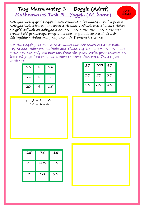### **Tasg Mathemateg 3 – Boggle (Adref) Mathematics Task 3- Boggle (At home)**

![](_page_11_Picture_1.jpeg)

Defnyddiwch y grid Boggle i greu **cymaint** o frawddegau rhif a phosib. Defnyddiwch adio, tynnu, lluosi a rhannu. Cofiwch mai dim ond rhifau o'r grid gallwch eu defnyddio e.e. 40 + 50 = 90, 90 – 50 = 40 Mae croeso i chi ychwanegu mwy o atebion ar y dudalen nesaf. Cewch ddefnyddio'r rhifau mwy nag unwaith. Dewiswch eich her.

Use the Boggle grid to create as **many** number sentences as possible. Try to add, subtract, multiply and divide. E.g  $40 + 50 = 90$ ,  $90 - 50$ = 40. You can only use numbers from the grids. Write your answers on the next page. You may use a number more than once. Choose your challenge.

| 13 | 8 | 11 |
|----|---|----|
| 12 | 5 | 7  |
| 20 | 9 | 15 |

| 10 | 100 | 90 |
|----|-----|----|
| 30 | 50  | 20 |
| 80 | 60  | 40 |

| e.g. $2 + 8 = 10$ |  |  |
|-------------------|--|--|
| $10 - 6 = 4$      |  |  |

| 25           | 75  | 15 |
|--------------|-----|----|
| 85           | 100 | 50 |
| $\mathbf{2}$ | 10  | 20 |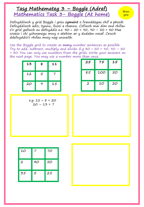#### **Tasg Mathemateg 3 – Boggle (Adref) Mathematics Task 3- Boggle (At home)**

Defnyddiwch y grid Boggle i greu **cymaint** o frawddegau rhif a phosib. Defnyddiwch adio, tynnu, lluosi a rhannu. Cofiwch mai dim ond rhifau o'r grid gallwch eu defnyddio e.e. 40 + 50 = 90, 90 – 50 = 40 Mae croeso i chi ychwanegu mwy o atebion ar y dudalen nesaf. Cewch ddefnyddio'r rhifau mwy nag unwaith.

Use the Boggle grid to create as **many** number sentences as possible. Try to add, subtract, multiply and divide. E.g  $40 + 50 = 90$ ,  $90 - 50$ = 40. You can only use numbers from the grids. Write your answers on the next page. You may use a number more than once.

| 13 | 8 | 11 |
|----|---|----|
| 12 | 5 |    |
| 20 | 9 | 15 |

| 25           | 75  | 15 |
|--------------|-----|----|
| 85           | 100 | 50 |
| $\mathbf{2}$ | 10  | 20 |

Bron yna

$$
e.g. 12 + 8 = 20
$$
  

$$
20 - 13 = 7
$$

| 10           | 7  | 70 |
|--------------|----|----|
| $\mathbf{2}$ | 40 | 50 |
| 35           | 5  | 25 |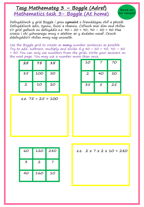#### **Tasg Mathemateg 3 – Boggle (Adref) Mathematics task 3- Boggle (At home)**

Barod am her newydd

Defnyddiwch y grid Boggle i greu **cymaint** o frawddegau rhif a phosib. Defnyddiwch adio, tynnu, lluosi a rhannu. Cofiwch mai dim ond rhifau o'r grid gallwch eu defnyddio e.e. 40 + 50 = 90, 90 – 50 = 40 Mae croeso i chi ychwanegu mwy o atebion ar y dudalen nesaf. Cewch ddefnyddio'r rhifau mwy nag unwaith.

Use the Boggle grid to create as **many** number sentences as possible. Try to add, subtract, multiply and divide. E.g  $40 + 50 = 90$ ,  $90 - 50$ = 40. You can only use numbers from the grids. Write your answers on the next page. You may use a number more than once.

| 25           | 75  | 15 |  |
|--------------|-----|----|--|
| 85           | 100 | 50 |  |
| $\mathbf{2}$ | 10  | 20 |  |

| 10           |    | 70 |
|--------------|----|----|
| $\mathbf{2}$ | 40 | 50 |
| 35           | 5  | 25 |

e.e. 75 + 25 = 100

| 60 | 120          | 280 |
|----|--------------|-----|
| 3  | $\mathbf{2}$ |     |
| 40 | 160          | 10  |

e.e.  $2 \times 7 \times 2 \times 10 = 280$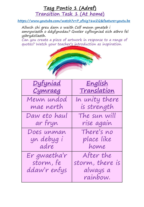### **Tasg Pontio 1 (Adref) Transition Task 1 (At home)**

**[https://www.youtube.com/watch?v=P\\_zfWg76wZQ&feature=youtu.be](https://www.youtube.com/watch?v=P_zfWg76wZQ&feature=youtu.be)**

Allwch chi greu darn o waith Celf mewn ymateb i amrywiaeth o ddyfynodau? Gweler cyflwyniad eich athro fel ysbrydoliaeth.

Can you create a piece of artwork in response to a range of quotes? Watch your teacher's introduction as inspiration.

![](_page_14_Picture_4.jpeg)

| <u>Dyfyniad</u> | <u>English</u>     |
|-----------------|--------------------|
| <u>Cymraeg</u>  | <u>Translation</u> |
| Mewn undod      | In unity there     |
| mae nerth       | is strength        |
| Daw eto haul    | The sun will       |
| ar fryn         | rise again         |
| Does unman      | There's no         |
| yn debyg i      | place like         |
| adre            | home               |
| Er gwaetha'r    | After the          |
| storm, fe       | storm, there is    |
| ddaw'r enfys    | always a           |
|                 | rainbow.           |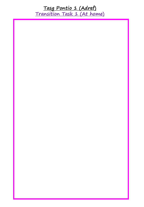**Tasg Pontio 1 (Adref) Transition Task 1 (At home)**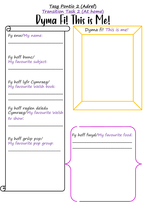![](_page_16_Figure_0.jpeg)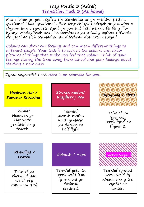**Tasg Pontio 3 (Adref) Transition Task 3 (At home)**

Mae lliwiau yn gallu cyfleu ein teimladau ac yn meddwl pethau gwahanol i bobl gwahanol . Eich tasg chi yw i edrych ar y lliwiau a thynnu llun o rywbeth sydd yn gwneud i chi deimlo fel fel y lliw hynny. Meddyliwch am eich teimladau yn ystod y cyfnod i ffwrdd o'r ysgol ac eich teimladau am ddechrau dosbarth newydd.

Colours can show our feelings and can mean different things to different people. Your task is to look at the colours and draw pictures of things that make you feel that colour. Think of your feelings during the time away from school and your feelings about starting a new class.

Dyma enghraifft i chi. Here is an example for you.

![](_page_17_Figure_4.jpeg)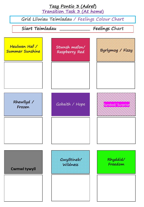![](_page_18_Figure_0.jpeg)

**Transition Task 3 (At home)**

Grid Lliwiau Teimladau / Feelings Colour Chart

![](_page_18_Figure_3.jpeg)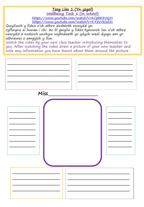#### **Tasg Lles 1 (Yn ysgol)**

**Wellbeing Task 1 (In school)**

<https://www.youtube.com/watch?v=KCpbKhVzj5I> <https://www.youtube.com/watch?v=K9ZzVklsd5s>

Gwyliwch y fideo o'ch athro dosbarth newydd yn cyflwyno ei hunan i chi. Ar ôl gwylio y fideo tynnwch lun o'ch athro newydd a nodwch unrhyw wybodaeth yr ydych wedi dysgu am yr athrawes o amgylch y llun.

Watch the video by your new class teacher introducing themselves to you. After watching the video draw a picture of your new teacher and note any information you have learnt about them around the picture.

| Miss_ |  |
|-------|--|
|       |  |
| ۰.    |  |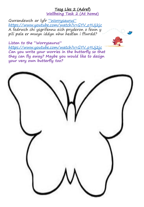#### **Tasg Lles 2 (Adref) Wellbeing Task 2 (At home)**

Gwrandewch ar lyfr "Worrysaurus" [https://www.youtube.com/watch?v=GYV\\_o9Uj2jc](https://www.youtube.com/watch?v=GYV_o9Uj2jc) A fedrwch chi ysgrifennu eich pryderon o fewn y pili pala er mwyn iddyn nhw hedfan i ffwrdd?

![](_page_20_Picture_2.jpeg)

**Listen to the "Worrysaurus"**  [https://www.youtube.com/watch?v=GYV\\_o9Uj2jc](https://www.youtube.com/watch?v=GYV_o9Uj2jc) **Can you write your worries in the butterfly so that they can fly away? Maybe you would like to design your very own butterfly too?**

![](_page_20_Picture_4.jpeg)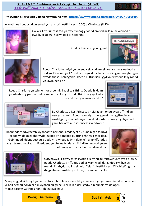![](_page_21_Picture_1.jpeg)

Yr wythnos hon, byddwn yn edrych ar stori LostPrincess (0:00) a Charlotte (8:25)

![](_page_21_Picture_3.jpeg)

Gallai'r LostPrincess fod yn bwy bynnag yr oedd am fod ar-lein; newidiodd ei gwallt, ei golwg, hyd yn oed ei hoedran!

Ond nid hi oedd yr unig un!

![](_page_21_Picture_6.jpeg)

![](_page_21_Picture_7.jpeg)

Roedd Charlotte hefyd yn dweud celwydd am ei hoedran a dywedodd ei bod yn 13 ac nid yn 12 oed er mwyn iddi allu defnyddio gwefan cyfryngau cymdeithasol boblogaidd. Roedd ei ffrindiau i gyd yn ei wneud felly roedd yn iawn, oedd e?

Roedd Charlotte yn teimlo mor arbennig i gael cais ffrind. Doedd hi ddim yn adnabod y person ond dywedodd ei fod yn ffrind i ffrind o'r ysgol felly roedd hynny'n iawn, oedd e?

![](_page_21_Picture_10.jpeg)

![](_page_21_Picture_11.jpeg)

Bu Charlotte a LostPrincess yn siarad am oriau gyda'u ffrindiau newydd ar-lein. Roedd ganddyn nhw gymaint yn gyffredin ac roedd gan y ddau ohonyn nhw ddiddordeb mawr yn yr hyn oedd gan Charlotte a LostPrincess i'w ddweud.

Rhannodd y ddwy ferch wybodaeth bersonol amdanynt eu hunain gan feddwl ei bod yn ddiogel oherwydd eu bod yn adnabod eu ffrind rhithwir mor dda. Gofynnodd iddynt bethau a oedd yn gwneud iddynt deimlo'n anghyfforddus ac yn teimlo cywilydd. Roeddent yn ofni na fyddai eu ffrindiau newydd yn eu hoffi mwyach pe byddent yn dweud na.

![](_page_21_Picture_14.jpeg)

![](_page_21_Picture_15.jpeg)

Gofynnwyd i'r ddwy ferch gwrdd â'u ffrindiau rhithwir yn y byd go iawn. Roedd Charlotte yn ffodus bod ei Mam wedi darganfod cyn hyn ac roedd hi'n rhyddhad i gael help. Cyfarfu LostPrincess â'i WhiteKnight a darganfu nad oedd o gwbl pwy ddywedodd ei fod…

Mae perygl dieithr hyd yn oed yn fwy o broblem ar-lein fel y mae yn y byd go iawn. Sut allwn ni wneud yr holl bethau rydyn ni'n mwynhau eu gwneud ar-lein a dal i gadw ein hunain yn ddiogel? Mae 2 dasg yr wythnos hon i chi eu cwblhau:

![](_page_21_Picture_18.jpeg)

![](_page_21_Picture_19.jpeg)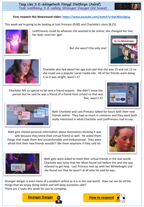**First, rewatch this Newsround video: [https://www.youtube.com/watch?v=kgCNGvL0g1g.](https://www.youtube.com/watch?v=kgCNGvL0g1g)**

This week we're going to be looking at Lost Princess (0:00) and Charlotte's story (8:25).

![](_page_22_Picture_3.jpeg)

LostPrincess could be whoever she wanted to be online; she changed her hair, her look, even her age!

But she wasn't the only one!

![](_page_22_Picture_6.jpeg)

![](_page_22_Picture_7.jpeg)

Charlotte also lied about her age and said that she was 13 and not 12 so she could use a popular social media site. All of her friends were doing it so it was alright, wasn't it?

Charlotte felt so special to be sent a friend request. She didn't know the person but he said he was a friend of a friend from school so that was fine, wasn't it?

![](_page_22_Picture_10.jpeg)

![](_page_22_Picture_11.jpeg)

Both Charlotte and Lost Princess talked for hours with their new friends online. They had so much in common and they were both really interested in what Charlotte and LostPrincess had to say.

Both girls shared personal information about themselves thinking it was safe because they knew their virtual friend so well. He asked them things that made them feel uncomfortable and embarrassed. They were afraid that their new friends wouldn't like them anymore if they said no.

![](_page_22_Picture_14.jpeg)

![](_page_22_Picture_15.jpeg)

Both girls were asked to meet their virtual friends in the real world. Charlotte was lucky that her Mum found out before this and she was relieved to get help. Lost Princess met up with her WhiteKnight and she found out that he wasn't at all who he said he was…

Stranger danger is even more of a problem online as it is in the real world. How can we do all the things that we enjoy doing online and still keep ourselves safe? There are 2 tasks this week for you to complete:

![](_page_22_Picture_18.jpeg)

![](_page_22_Picture_19.jpeg)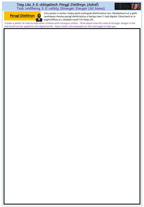![](_page_23_Picture_1.jpeg)

**Perygl Dieithryn**

W

Creu poster o reolau i helpu plant eraill gyda dieithriaid ar-lein. Meddyliwch sut y gellir cymhwyso rheolau perygl dieithriaid yn y byd go iawn i'r byd digidol. Edrychwch ar yr enghreifftiau ar y dudalen nesaf i'ch helpu chi.

Create a poster of rules to help other children with strangers online. Think about how the rules of stranger danger in the real world can be applied to the digital world. Have a look a the examples on the next page to help you.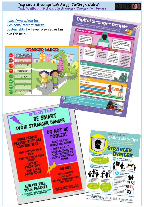![](_page_24_Figure_0.jpeg)